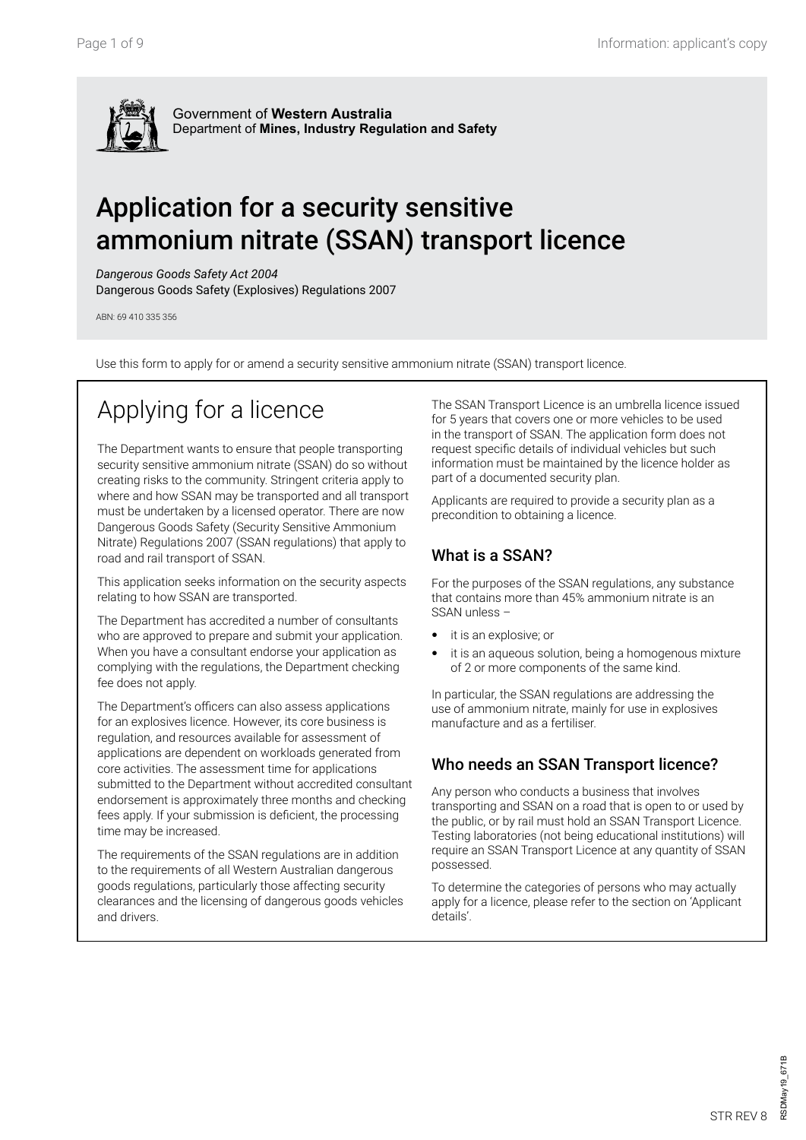

# Application for a security sensitive ammonium nitrate (SSAN) transport licence

*Dangerous Goods Safety Act 2004*

Dangerous Goods Safety (Explosives) Regulations 2007

ABN: 69 410 335 356

Use this form to apply for or amend a security sensitive ammonium nitrate (SSAN) transport licence.

# Applying for a licence

The Department wants to ensure that people transporting security sensitive ammonium nitrate (SSAN) do so without creating risks to the community. Stringent criteria apply to where and how SSAN may be transported and all transport must be undertaken by a licensed operator. There are now Dangerous Goods Safety (Security Sensitive Ammonium Nitrate) Regulations 2007 (SSAN regulations) that apply to road and rail transport of SSAN.

This application seeks information on the security aspects relating to how SSAN are transported.

The Department has accredited a number of consultants who are approved to prepare and submit your application. When you have a consultant endorse your application as complying with the regulations, the Department checking fee does not apply.

The Department's officers can also assess applications for an explosives licence. However, its core business is regulation, and resources available for assessment of applications are dependent on workloads generated from core activities. The assessment time for applications submitted to the Department without accredited consultant endorsement is approximately three months and checking fees apply. If your submission is deficient, the processing time may be increased.

The requirements of the SSAN regulations are in addition to the requirements of all Western Australian dangerous goods regulations, particularly those affecting security clearances and the licensing of dangerous goods vehicles and drivers.

The SSAN Transport Licence is an umbrella licence issued for 5 years that covers one or more vehicles to be used in the transport of SSAN. The application form does not request specific details of individual vehicles but such information must be maintained by the licence holder as part of a documented security plan.

Applicants are required to provide a security plan as a precondition to obtaining a licence.

### What is a SSAN?

For the purposes of the SSAN regulations, any substance that contains more than 45% ammonium nitrate is an SSAN unless –

- it is an explosive; or
- it is an aqueous solution, being a homogenous mixture of 2 or more components of the same kind.

In particular, the SSAN regulations are addressing the use of ammonium nitrate, mainly for use in explosives manufacture and as a fertiliser.

### Who needs an SSAN Transport licence?

Any person who conducts a business that involves transporting and SSAN on a road that is open to or used by the public, or by rail must hold an SSAN Transport Licence. Testing laboratories (not being educational institutions) will require an SSAN Transport Licence at any quantity of SSAN possessed.

To determine the categories of persons who may actually apply for a licence, please refer to the section on 'Applicant details'.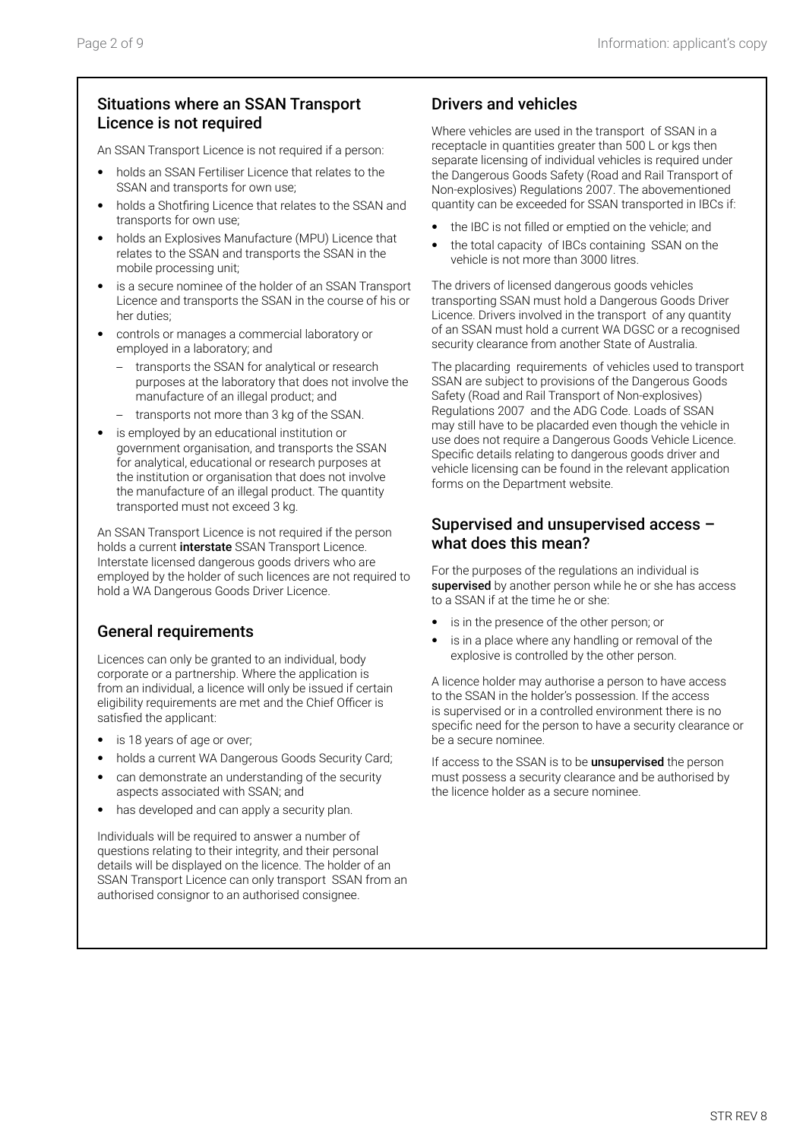### Situations where an SSAN Transport Licence is not required

An SSAN Transport Licence is not required if a person:

- holds an SSAN Fertiliser Licence that relates to the SSAN and transports for own use;
- holds a Shotfiring Licence that relates to the SSAN and transports for own use;
- holds an Explosives Manufacture (MPU) Licence that relates to the SSAN and transports the SSAN in the mobile processing unit;
- is a secure nominee of the holder of an SSAN Transport Licence and transports the SSAN in the course of his or her duties;
- controls or manages a commercial laboratory or employed in a laboratory; and
	- transports the SSAN for analytical or research purposes at the laboratory that does not involve the manufacture of an illegal product; and
	- transports not more than 3 kg of the SSAN.
- is employed by an educational institution or government organisation, and transports the SSAN for analytical, educational or research purposes at the institution or organisation that does not involve the manufacture of an illegal product. The quantity transported must not exceed 3 kg.

An SSAN Transport Licence is not required if the person holds a current *interstate* SSAN Transport Licence. Interstate licensed dangerous goods drivers who are employed by the holder of such licences are not required to hold a WA Dangerous Goods Driver Licence.

### General requirements

Licences can only be granted to an individual, body corporate or a partnership. Where the application is from an individual, a licence will only be issued if certain eligibility requirements are met and the Chief Officer is satisfied the applicant:

- is 18 years of age or over;
- holds a current WA Dangerous Goods Security Card;
- can demonstrate an understanding of the security aspects associated with SSAN; and
- has developed and can apply a security plan.

Individuals will be required to answer a number of questions relating to their integrity, and their personal details will be displayed on the licence. The holder of an SSAN Transport Licence can only transport SSAN from an authorised consignor to an authorised consignee.

### Drivers and vehicles

Where vehicles are used in the transport of SSAN in a receptacle in quantities greater than 500 L or kgs then separate licensing of individual vehicles is required under the Dangerous Goods Safety (Road and Rail Transport of Non-explosives) Regulations 2007. The abovementioned quantity can be exceeded for SSAN transported in IBCs if:

- the IBC is not filled or emptied on the vehicle; and
- the total capacity of IBCs containing SSAN on the vehicle is not more than 3000 litres.

The drivers of licensed dangerous goods vehicles transporting SSAN must hold a Dangerous Goods Driver Licence. Drivers involved in the transport of any quantity of an SSAN must hold a current WA DGSC or a recognised security clearance from another State of Australia.

The placarding requirements of vehicles used to transport SSAN are subject to provisions of the Dangerous Goods Safety (Road and Rail Transport of Non-explosives) Regulations 2007 and the ADG Code. Loads of SSAN may still have to be placarded even though the vehicle in use does not require a Dangerous Goods Vehicle Licence. Specific details relating to dangerous goods driver and vehicle licensing can be found in the relevant application forms on the Department website.

#### Supervised and unsupervised access – what does this mean?

For the purposes of the regulations an individual is supervised by another person while he or she has access to a SSAN if at the time he or she:

- is in the presence of the other person; or
- is in a place where any handling or removal of the explosive is controlled by the other person.

A licence holder may authorise a person to have access to the SSAN in the holder's possession. If the access is supervised or in a controlled environment there is no specific need for the person to have a security clearance or be a secure nominee.

If access to the SSAN is to be *unsupervised* the person must possess a security clearance and be authorised by the licence holder as a secure nominee.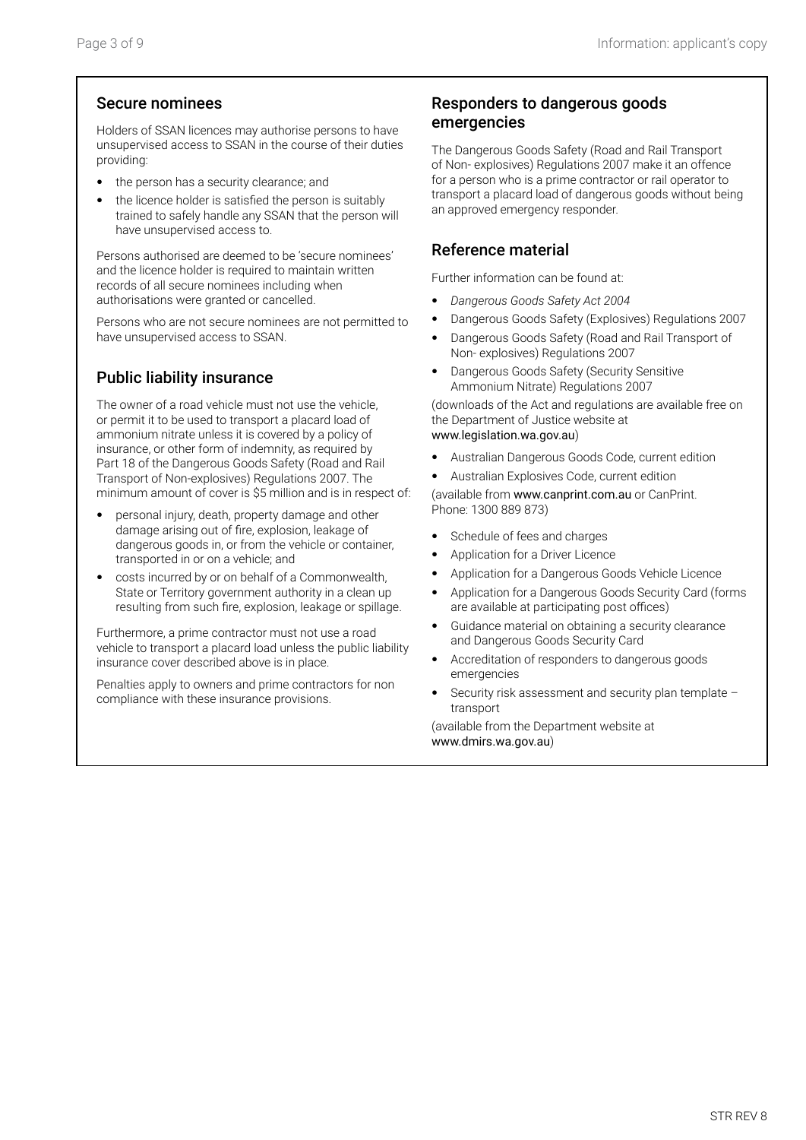### Secure nominees

Holders of SSAN licences may authorise persons to have unsupervised access to SSAN in the course of their duties providing:

- the person has a security clearance; and
- the licence holder is satisfied the person is suitably trained to safely handle any SSAN that the person will have unsupervised access to.

Persons authorised are deemed to be 'secure nominees' and the licence holder is required to maintain written records of all secure nominees including when authorisations were granted or cancelled.

Persons who are not secure nominees are not permitted to have unsupervised access to SSAN.

### Public liability insurance

The owner of a road vehicle must not use the vehicle, or permit it to be used to transport a placard load of ammonium nitrate unless it is covered by a policy of insurance, or other form of indemnity, as required by Part 18 of the Dangerous Goods Safety (Road and Rail Transport of Non-explosives) Regulations 2007. The minimum amount of cover is \$5 million and is in respect of:

- personal injury, death, property damage and other damage arising out of fire, explosion, leakage of dangerous goods in, or from the vehicle or container, transported in or on a vehicle; and
- costs incurred by or on behalf of a Commonwealth, State or Territory government authority in a clean up resulting from such fire, explosion, leakage or spillage.

Furthermore, a prime contractor must not use a road vehicle to transport a placard load unless the public liability insurance cover described above is in place.

Penalties apply to owners and prime contractors for non compliance with these insurance provisions.

### Responders to dangerous goods emergencies

The Dangerous Goods Safety (Road and Rail Transport of Non- explosives) Regulations 2007 make it an offence for a person who is a prime contractor or rail operator to transport a placard load of dangerous goods without being an approved emergency responder.

### Reference material

Further information can be found at:

- *Dangerous Goods Safety Act 2004*
- Dangerous Goods Safety (Explosives) Regulations 2007
- Dangerous Goods Safety (Road and Rail Transport of Non- explosives) Regulations 2007
- Dangerous Goods Safety (Security Sensitive Ammonium Nitrate) Regulations 2007

(downloads of the Act and regulations are available free on the Department of Justice website at www.legislation.wa.gov.au)

- Australian Dangerous Goods Code, current edition
- Australian Explosives Code, current edition

(available from www.canprint.com.au or CanPrint. Phone: 1300 889 873)

- Schedule of fees and charges
- Application for a Driver Licence
- Application for a Dangerous Goods Vehicle Licence
- Application for a Dangerous Goods Security Card (forms are available at participating post offices)
- Guidance material on obtaining a security clearance and Dangerous Goods Security Card
- Accreditation of responders to dangerous goods emergencies
- Security risk assessment and security plan template transport

(available from the Department website at www.dmirs.wa.gov.au)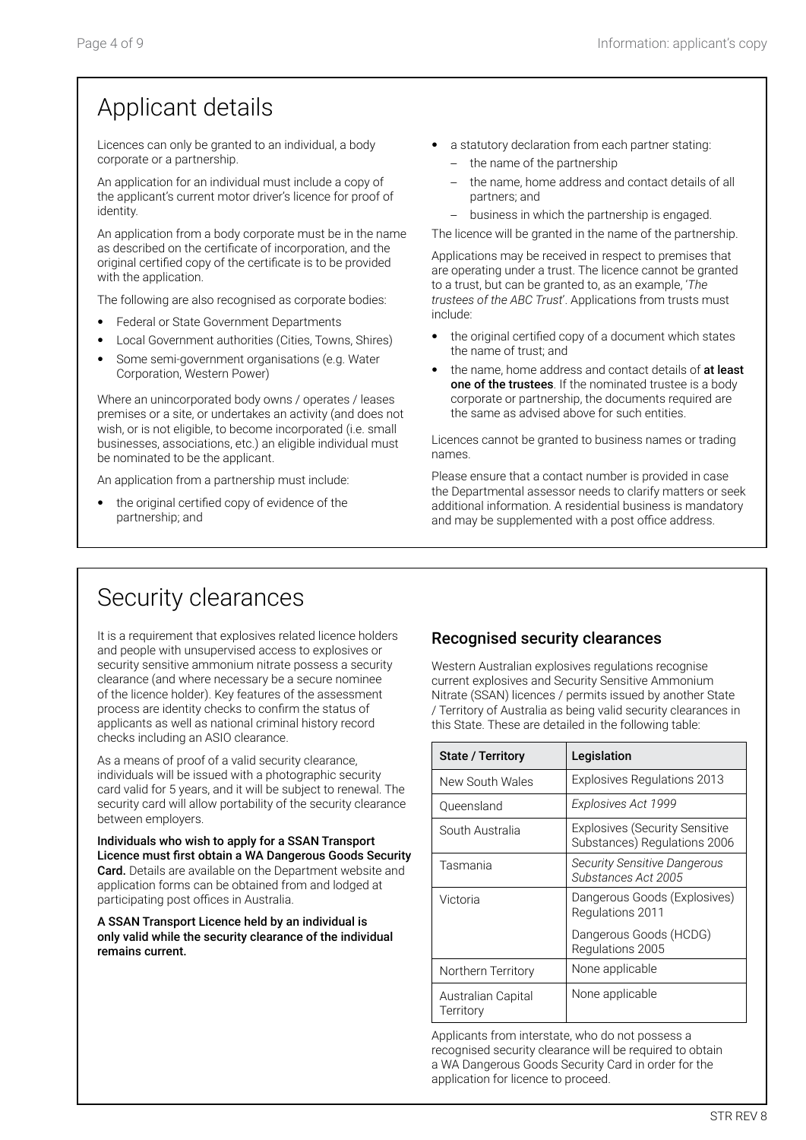# Applicant details

Licences can only be granted to an individual, a body corporate or a partnership.

An application for an individual must include a copy of the applicant's current motor driver's licence for proof of identity.

An application from a body corporate must be in the name as described on the certificate of incorporation, and the original certified copy of the certificate is to be provided with the application.

The following are also recognised as corporate bodies:

- Federal or State Government Departments
- Local Government authorities (Cities, Towns, Shires)
- Some semi-government organisations (e.g. Water Corporation, Western Power)

Where an unincorporated body owns / operates / leases premises or a site, or undertakes an activity (and does not wish, or is not eligible, to become incorporated (i.e. small businesses, associations, etc.) an eligible individual must be nominated to be the applicant.

An application from a partnership must include:

the original certified copy of evidence of the partnership; and

- a statutory declaration from each partner stating:
	- the name of the partnership
	- the name, home address and contact details of all partners; and
	- business in which the partnership is engaged.

The licence will be granted in the name of the partnership.

Applications may be received in respect to premises that are operating under a trust. The licence cannot be granted to a trust, but can be granted to, as an example, '*The trustees of the ABC Trust*'. Applications from trusts must include:

- the original certified copy of a document which states the name of trust; and
- the name, home address and contact details of at least one of the trustees. If the nominated trustee is a body corporate or partnership, the documents required are the same as advised above for such entities.

Licences cannot be granted to business names or trading names.

Please ensure that a contact number is provided in case the Departmental assessor needs to clarify matters or seek additional information. A residential business is mandatory and may be supplemented with a post office address.

## Security clearances

It is a requirement that explosives related licence holders and people with unsupervised access to explosives or security sensitive ammonium nitrate possess a security clearance (and where necessary be a secure nominee of the licence holder). Key features of the assessment process are identity checks to confirm the status of applicants as well as national criminal history record checks including an ASIO clearance.

As a means of proof of a valid security clearance, individuals will be issued with a photographic security card valid for 5 years, and it will be subject to renewal. The security card will allow portability of the security clearance between employers.

Individuals who wish to apply for a SSAN Transport Licence must first obtain a WA Dangerous Goods Security Card. Details are available on the Department website and application forms can be obtained from and lodged at participating post offices in Australia.

A SSAN Transport Licence held by an individual is only valid while the security clearance of the individual remains current.

### Recognised security clearances

Western Australian explosives regulations recognise current explosives and Security Sensitive Ammonium Nitrate (SSAN) licences / permits issued by another State / Territory of Australia as being valid security clearances in this State. These are detailed in the following table:

| <b>State / Territory</b>        | Legislation                                                           |
|---------------------------------|-----------------------------------------------------------------------|
| New South Wales                 | <b>Explosives Regulations 2013</b>                                    |
| Queensland                      | Explosives Act 1999                                                   |
| South Australia                 | <b>Explosives (Security Sensitive</b><br>Substances) Regulations 2006 |
| Tasmania                        | <b>Security Sensitive Dangerous</b><br>Substances Act 2005            |
| Victoria                        | Dangerous Goods (Explosives)<br>Regulations 2011                      |
|                                 | Dangerous Goods (HCDG)<br>Regulations 2005                            |
| Northern Territory              | None applicable                                                       |
| Australian Capital<br>Territory | None applicable                                                       |

Applicants from interstate, who do not possess a recognised security clearance will be required to obtain a WA Dangerous Goods Security Card in order for the application for licence to proceed.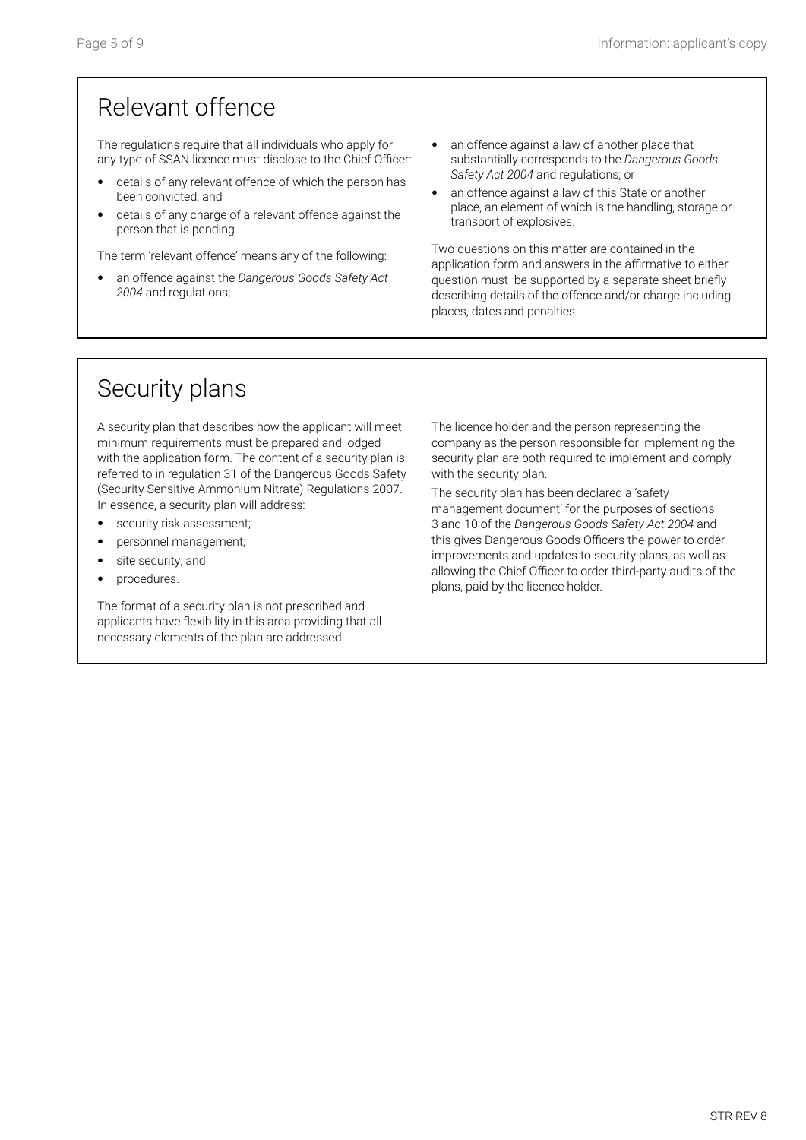# Relevant offence

The regulations require that all individuals who apply for any type of SSAN licence must disclose to the Chief Officer:

- details of any relevant offence of which the person has been convicted; and
- details of any charge of a relevant offence against the person that is pending.

The term 'relevant offence' means any of the following:

- an offence against the *Dangerous Goods Safety Act 2004* and regulations;
- an offence against a law of another place that substantially corresponds to the *Dangerous Goods Safety Act 2004* and regulations; or
- an offence against a law of this State or another place, an element of which is the handling, storage or transport of explosives.

Two questions on this matter are contained in the application form and answers in the affirmative to either question must be supported by a separate sheet briefly describing details of the offence and/or charge including places, dates and penalties.

# Security plans

A security plan that describes how the applicant will meet minimum requirements must be prepared and lodged with the application form. The content of a security plan is referred to in regulation 31 of the Dangerous Goods Safety (Security Sensitive Ammonium Nitrate) Regulations 2007. In essence, a security plan will address:

- security risk assessment;
- personnel management;
- site security; and
- procedures.

The format of a security plan is not prescribed and applicants have flexibility in this area providing that all necessary elements of the plan are addressed.

The licence holder and the person representing the company as the person responsible for implementing the security plan are both required to implement and comply with the security plan.

The security plan has been declared a 'safety management document' for the purposes of sections 3 and 10 of the *Dangerous Goods Safety Act 2004* and this gives Dangerous Goods Officers the power to order improvements and updates to security plans, as well as allowing the Chief Officer to order third-party audits of the plans, paid by the licence holder.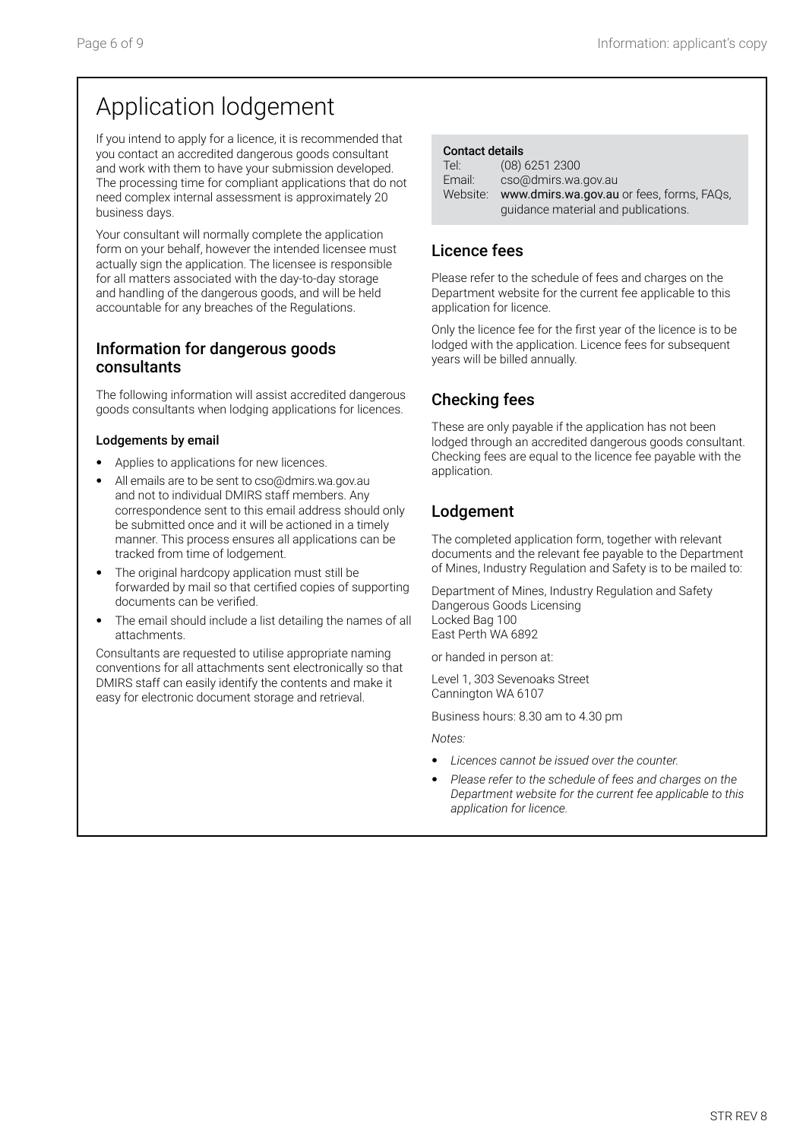# Application lodgement

If you intend to apply for a licence, it is recommended that you contact an accredited dangerous goods consultant and work with them to have your submission developed. The processing time for compliant applications that do not need complex internal assessment is approximately 20 business days.

Your consultant will normally complete the application form on your behalf, however the intended licensee must actually sign the application. The licensee is responsible for all matters associated with the day-to-day storage and handling of the dangerous goods, and will be held accountable for any breaches of the Regulations.

### Information for dangerous goods consultants

The following information will assist accredited dangerous goods consultants when lodging applications for licences.

#### Lodgements by email

- Applies to applications for new licences.
- All emails are to be sent to cso@dmirs.wa.gov.au and not to individual DMIRS staff members. Any correspondence sent to this email address should only be submitted once and it will be actioned in a timely manner. This process ensures all applications can be tracked from time of lodgement.
- The original hardcopy application must still be forwarded by mail so that certified copies of supporting documents can be verified.
- The email should include a list detailing the names of all attachments.

Consultants are requested to utilise appropriate naming conventions for all attachments sent electronically so that DMIRS staff can easily identify the contents and make it easy for electronic document storage and retrieval.

| Tel:     | $(08)$ 6251 2300                          |
|----------|-------------------------------------------|
| Email:   | cso@dmirs.wa.gov.au                       |
| Website: | www.dmirs.wa.gov.au or fees, forms, FAQs, |
|          | quidance material and publications.       |

### Licence fees

Please refer to the schedule of fees and charges on the Department website for the current fee applicable to this application for licence.

Only the licence fee for the first year of the licence is to be lodged with the application. Licence fees for subsequent years will be billed annually.

### Checking fees

These are only payable if the application has not been lodged through an accredited dangerous goods consultant. Checking fees are equal to the licence fee payable with the application.

### Lodgement

The completed application form, together with relevant documents and the relevant fee payable to the Department of Mines, Industry Regulation and Safety is to be mailed to:

Department of Mines, Industry Regulation and Safety Dangerous Goods Licensing Locked Bag 100 East Perth WA 6892

or handed in person at:

Level 1, 303 Sevenoaks Street Cannington WA 6107

Business hours: 8.30 am to 4.30 pm

*Notes:*

- *Licences cannot be issued over the counter.*
- *Please refer to the schedule of fees and charges on the Department website for the current fee applicable to this application for licence.*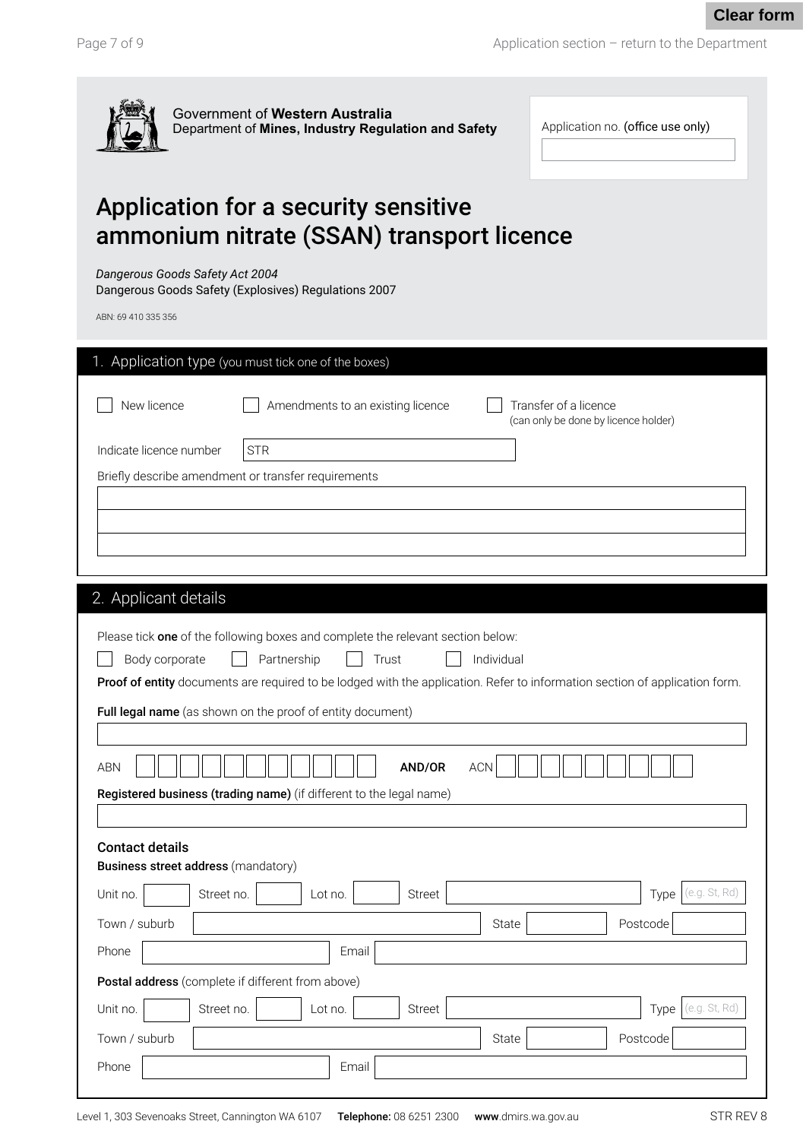Application section – return to the Department



| Application no. (office use only) |  |
|-----------------------------------|--|
|-----------------------------------|--|

STR

## Application for a security sensitive ammonium nitrate (SSAN) transport licence

*Dangerous Goods Safety Act 2004*

Dangerous Goods Safety (Explosives) Regulations 2007

| ABN: 69 410 335 356                                                                                                                     |
|-----------------------------------------------------------------------------------------------------------------------------------------|
| 1. Application type (you must tick one of the boxes)                                                                                    |
| New licence<br>Amendments to an existing licence<br>Transfer of a licence<br>(can only be done by licence holder)                       |
| Indicate licence number<br><b>STR</b>                                                                                                   |
| Briefly describe amendment or transfer requirements                                                                                     |
|                                                                                                                                         |
|                                                                                                                                         |
|                                                                                                                                         |
| 2. Applicant details                                                                                                                    |
|                                                                                                                                         |
| Please tick one of the following boxes and complete the relevant section below:<br>Individual<br>Body corporate<br>Partnership<br>Trust |
| Proof of entity documents are required to be lodged with the application. Refer to information section of application form.             |
| Full legal name (as shown on the proof of entity document)                                                                              |
|                                                                                                                                         |
| <b>ACN</b><br><b>ABN</b><br>AND/OR                                                                                                      |
| Registered business (trading name) (if different to the legal name)                                                                     |
|                                                                                                                                         |
| <b>Contact details</b>                                                                                                                  |
| <b>Business street address (mandatory)</b>                                                                                              |
| (e.g. St, Rd<br><b>Street</b><br>Street no.<br>Unit no.<br>Lot no.<br>Type                                                              |
| Town / suburb<br>State<br>Postcode                                                                                                      |
| Phone<br>Email                                                                                                                          |
| Postal address (complete if different from above)                                                                                       |
| (e.g. St. Rd)<br>Unit no.<br>Street<br>Street no.<br>Lot no.<br>Type                                                                    |
| Town / suburb<br>Postcode<br>State                                                                                                      |
| Phone<br>Email                                                                                                                          |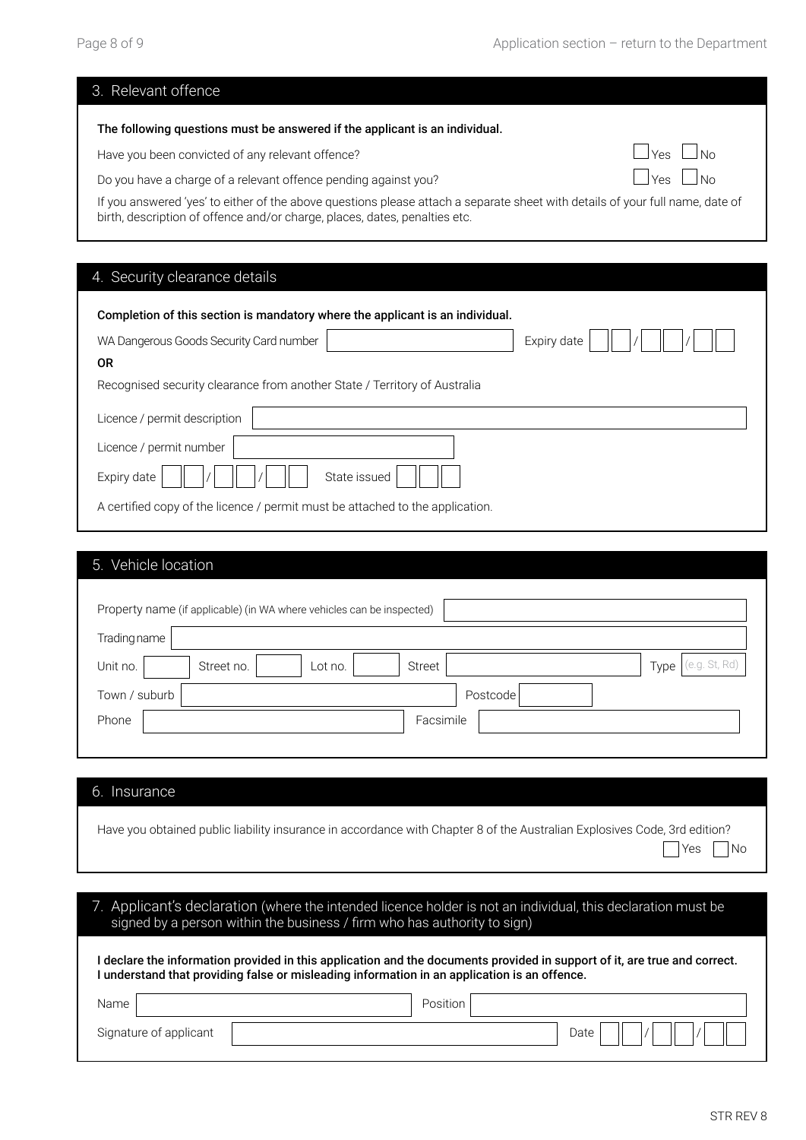| 3. Relevant offence                                                                                                                                                                                         |                                         |
|-------------------------------------------------------------------------------------------------------------------------------------------------------------------------------------------------------------|-----------------------------------------|
| The following questions must be answered if the applicant is an individual.                                                                                                                                 |                                         |
| Have you been convicted of any relevant offence?                                                                                                                                                            | ⊢ IYes ∟INo                             |
| Do you have a charge of a relevant offence pending against you?                                                                                                                                             | $\frac{1}{2}$ $\sqrt{98}$<br><u>INO</u> |
| If you answered 'yes' to either of the above questions please attach a separate sheet with details of your full name, date of<br>birth, description of offence and/or charge, places, dates, penalties etc. |                                         |

## 4. Security clearance details

| Completion of this section is mandatory where the applicant is an individual. |  |
|-------------------------------------------------------------------------------|--|
| WA Dangerous Goods Security Card number<br>Expiry date                        |  |
| 0R                                                                            |  |
| Recognised security clearance from another State / Territory of Australia     |  |
| Licence / permit description                                                  |  |
| Licence / permit number                                                       |  |
| State issued<br>Expiry date                                                   |  |
| A certified copy of the licence / permit must be attached to the application. |  |

| 5. Vehicle location                                                   |                              |
|-----------------------------------------------------------------------|------------------------------|
| Property name (if applicable) (in WA where vehicles can be inspected) |                              |
| Trading name                                                          |                              |
| Street<br>Unit no.<br>Street no.<br>Lot no.                           | (e.g. St, Rd)<br>$Type \mid$ |
| Town / suburb<br>Postcode                                             |                              |
| Phone<br>Facsimile                                                    |                              |
|                                                                       |                              |

#### 6. Insurance

| Have you obtained public liability insurance in accordance with Chapter 8 of the Australian Explosives Code, 3rd edition? |  |
|---------------------------------------------------------------------------------------------------------------------------|--|
| $\Box$ Yes $\Box$ No                                                                                                      |  |

| 7. Applicant's declaration (where the intended licence holder is not an individual, this declaration must be<br>signed by a person within the business / firm who has authority to sign)                                  |                 |  |
|---------------------------------------------------------------------------------------------------------------------------------------------------------------------------------------------------------------------------|-----------------|--|
| l declare the information provided in this application and the documents provided in support of it, are true and correct.<br>I understand that providing false or misleading information in an application is an offence. |                 |  |
| Name                                                                                                                                                                                                                      | <b>Position</b> |  |
| Signature of applicant                                                                                                                                                                                                    | Date            |  |